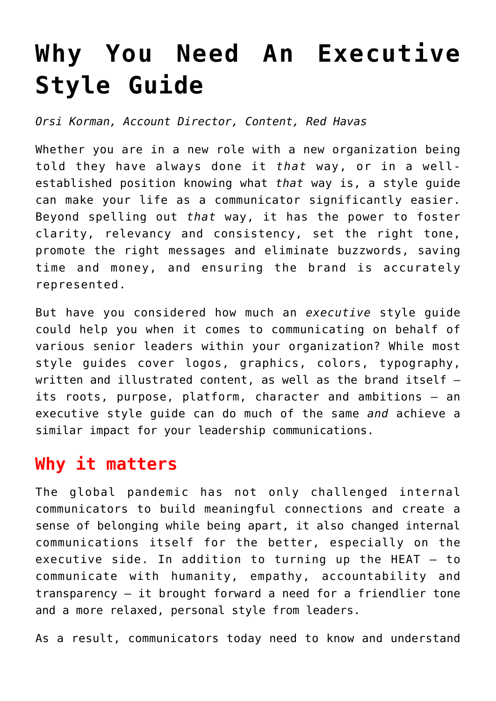# **[Why You Need An Executive](https://www.commpro.biz/why-you-need-an-executive-style-guide/) [Style Guide](https://www.commpro.biz/why-you-need-an-executive-style-guide/)**

*Orsi Korman, Account Director, Content, [Red Havas](https://redhavas.com/)*

Whether you are in a new role with a new organization being told they have always done it *that* way, or in a wellestablished position knowing what *that* way is, a style guide can make your life as a communicator significantly easier. Beyond spelling out *that* way, it has the power to foster clarity, relevancy and consistency, set the right tone, promote the right messages and eliminate buzzwords, saving time and money, and ensuring the brand is accurately represented.

But have you considered how much an *executive* style guide could help you when it comes to communicating on behalf of various senior leaders within your organization? While most style guides cover logos, graphics, colors, typography, written and illustrated content, as well as the brand itself – its roots, purpose, platform, character and ambitions – an executive style guide can do much of the same *and* achieve a similar impact for your leadership communications.

#### **Why it matters**

The global pandemic has not only challenged internal communicators to build meaningful connections and create a sense of belonging while being apart, it also changed internal communications itself for the better, especially on the executive side. In addition to turning up the [HEAT](https://redhavas.com/5-internal-comms-trends-new-white-paper-explores-changing-employee-engagement-tactics/) – to communicate with humanity, empathy, accountability and transparency – it brought forward a need for a friendlier tone and a more relaxed, personal style from leaders.

As a result, communicators today need to know and understand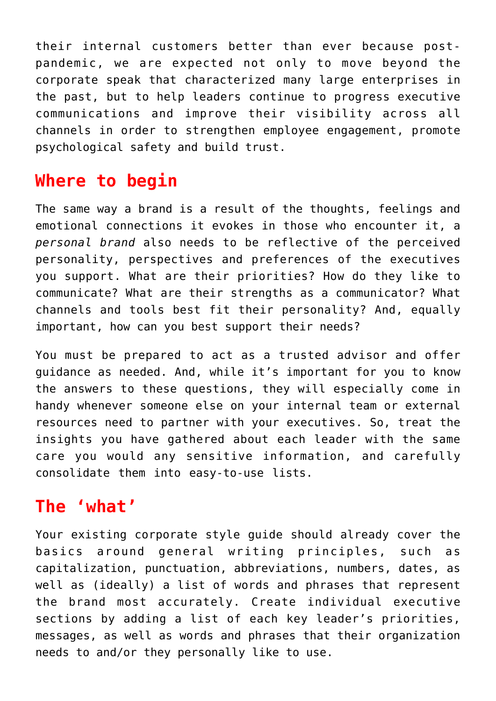their internal customers better than ever because postpandemic, we are expected not only to move beyond the corporate speak that characterized many large enterprises in the past, but to help leaders continue to progress executive communications and improve their visibility across all channels in order to strengthen employee engagement, promote psychological safety and build trust.

#### **Where to begin**

The same way a brand is a result of the thoughts, feelings and emotional connections it evokes in those who encounter it, a *personal brand* also needs to be reflective of the perceived personality, perspectives and preferences of the executives you support. What are their priorities? How do they like to communicate? What are their strengths as a communicator? What channels and tools best fit their personality? And, equally important, how can you best support their needs?

You must be prepared to act as a trusted advisor and offer guidance as needed. And, while it's important for you to know the answers to these questions, they will especially come in handy whenever someone else on your internal team or external resources need to partner with your executives. So, treat the insights you have gathered about each leader with the same care you would any sensitive information, and carefully consolidate them into easy-to-use lists.

### **The 'what'**

Your existing corporate style guide should already cover the basics around general writing principles, such as capitalization, punctuation, abbreviations, numbers, dates, as well as (ideally) a list of words and phrases that represent the brand most accurately. Create individual executive sections by adding a list of each key leader's priorities, messages, as well as words and phrases that their organization needs to and/or they personally like to use.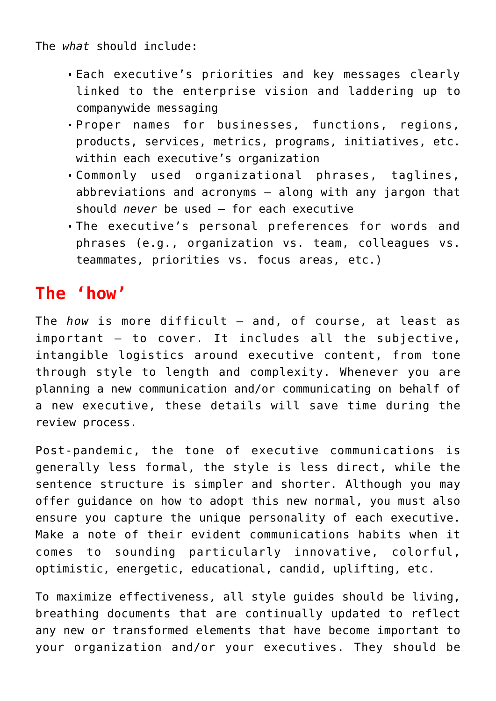The *what* should include:

- Each executive's priorities and key messages clearly linked to the enterprise vision and laddering up to companywide messaging
- Proper names for businesses, functions, regions, products, services, metrics, programs, initiatives, etc. within each executive's organization
- Commonly used organizational phrases, taglines, abbreviations and acronyms – along with any jargon that should *never* be used – for each executive
- The executive's personal preferences for words and phrases (e.g., organization vs. team, colleagues vs. teammates, priorities vs. focus areas, etc.)

## **The 'how'**

The *how* is more difficult – and, of course, at least as important – to cover. It includes all the subjective, intangible logistics around executive content, from tone through style to length and complexity. Whenever you are planning a new communication and/or communicating on behalf of a new executive, these details will save time during the review process.

Post-pandemic, the tone of executive [communications](https://www.commpro.biz/) is generally less formal, the style is less direct, while the sentence structure is simpler and shorter. Although you may offer guidance on how to adopt this new normal, you must also ensure you capture the unique personality of each executive. Make a note of their evident communications habits when it comes to sounding particularly innovative, colorful, optimistic, energetic, educational, candid, uplifting, etc.

To maximize effectiveness, all style guides should be living, breathing documents that are continually updated to reflect any new or transformed elements that have become important to your organization and/or your executives. They should be